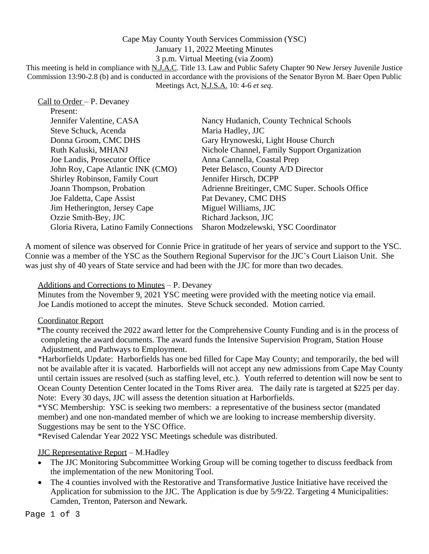# Cape May County Youth Services Commission (YSC) January 11, 2022 Meeting Minutes 3 p.m. Virtual Meeting (via Zoom)

This meeting is held in compliance with N.J.A.C. Title 13. Law and Public Safety Chapter 90 New Jersey Juvenile Justice Commission 13:90-2.8 (b) and is conducted in accordance with the provisions of the Senator Byron M. Baer Open Public Meetings Act, N.J.S.A. 10: 4-6 *et seq*.

| Call to Order – P. Devaney               |                                                |
|------------------------------------------|------------------------------------------------|
| Present:                                 |                                                |
| Jennifer Valentine, CASA                 | Nancy Hudanich, County Technical Schools       |
| Steve Schuck, Acenda                     | Maria Hadley, JJC                              |
| Donna Groom, CMC DHS                     | Gary Hrynoweski, Light House Church            |
| Ruth Kaluski, MHANJ                      | Nichole Channel, Family Support Organization   |
| Joe Landis, Prosecutor Office            | Anna Cannella, Coastal Prep                    |
| John Roy, Cape Atlantic INK (CMO)        | Peter Belasco, County A/D Director             |
| <b>Shirley Robinson, Family Court</b>    | Jennifer Hirsch, DCPP                          |
| Joann Thompson, Probation                | Adrienne Breitinger, CMC Super. Schools Office |
| Joe Faldetta, Cape Assist                | Pat Devaney, CMC DHS                           |
| Jim Hetherington, Jersey Cape            | Miguel Williams, JJC                           |
| Ozzie Smith-Bey, JJC                     | Richard Jackson, JJC                           |
| Gloria Rivera, Latino Family Connections | Sharon Modzelewski, YSC Coordinator            |

A moment of silence was observed for Connie Price in gratitude of her years of service and support to the YSC. Connie was a member of the YSC as the Southern Regional Supervisor for the JJC's Court Liaison Unit. She was just shy of 40 years of State service and had been with the JJC for more than two decades.

# Additions and Corrections to Minutes – P. Devaney

 Minutes from the November 9, 2021 YSC meeting were provided with the meeting notice via email. Joe Landis motioned to accept the minutes. Steve Schuck seconded. Motion carried.

# Coordinator Report

 \*The county received the 2022 award letter for the Comprehensive County Funding and is in the process of completing the award documents. The award funds the Intensive Supervision Program, Station House Adjustment, and Pathways to Employment.

\*Harborfields Update: Harborfields has one bed filled for Cape May County; and temporarily, the bed will not be available after it is vacated. Harborfields will not accept any new admissions from Cape May County until certain issues are resolved (such as staffing level, etc.). Youth referred to detention will now be sent to Ocean County Detention Center located in the Toms River area. The daily rate is targeted at \$225 per day. Note: Every 30 days, JJC will assess the detention situation at Harborfields.

\*YSC Membership: YSC is seeking two members: a representative of the business sector (mandated member) and one non-mandated member of which we are looking to increase membership diversity. Suggestions may be sent to the YSC Office.

\*Revised Calendar Year 2022 YSC Meetings schedule was distributed.

# JJC Representative Report – M.Hadley

- The JJC Monitoring Subcommittee Working Group will be coming together to discuss feedback from the implementation of the new Monitoring Tool.
- The 4 counties involved with the Restorative and Transformative Justice Initiative have received the Application for submission to the JJC. The Application is due by 5/9/22. Targeting 4 Municipalities: Camden, Trenton, Paterson and Newark.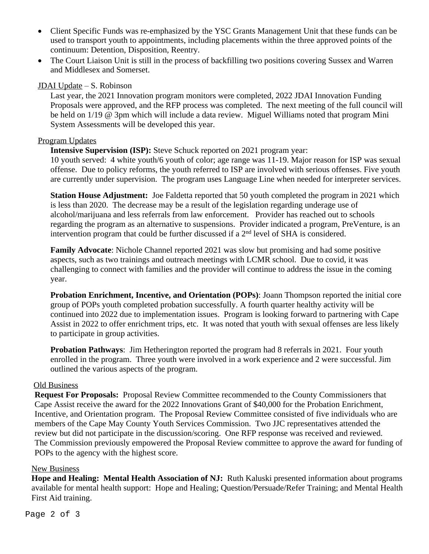- Client Specific Funds was re-emphasized by the YSC Grants Management Unit that these funds can be used to transport youth to appointments, including placements within the three approved points of the continuum: Detention, Disposition, Reentry.
- The Court Liaison Unit is still in the process of backfilling two positions covering Sussex and Warren and Middlesex and Somerset.

# JDAI Update – S. Robinson

Last year, the 2021 Innovation program monitors were completed, 2022 JDAI Innovation Funding Proposals were approved, and the RFP process was completed. The next meeting of the full council will be held on 1/19 @ 3pm which will include a data review. Miguel Williams noted that program Mini System Assessments will be developed this year.

# Program Updates

# **Intensive Supervision (ISP):** Steve Schuck reported on 2021 program year:

10 youth served: 4 white youth/6 youth of color; age range was 11-19. Major reason for ISP was sexual offense. Due to policy reforms, the youth referred to ISP are involved with serious offenses. Five youth are currently under supervision. The program uses Language Line when needed for interpreter services.

**Station House Adjustment:** Joe Faldetta reported that 50 youth completed the program in 2021 which is less than 2020. The decrease may be a result of the legislation regarding underage use of alcohol/marijuana and less referrals from law enforcement. Provider has reached out to schools regarding the program as an alternative to suspensions. Provider indicated a program, PreVenture, is an intervention program that could be further discussed if a 2nd level of SHA is considered.

**Family Advocate**: Nichole Channel reported 2021 was slow but promising and had some positive aspects, such as two trainings and outreach meetings with LCMR school. Due to covid, it was challenging to connect with families and the provider will continue to address the issue in the coming year.

**Probation Enrichment, Incentive, and Orientation (POPs)**: Joann Thompson reported the initial core group of POPs youth completed probation successfully. A fourth quarter healthy activity will be continued into 2022 due to implementation issues. Program is looking forward to partnering with Cape Assist in 2022 to offer enrichment trips, etc. It was noted that youth with sexual offenses are less likely to participate in group activities.

**Probation Pathways:** Jim Hetherington reported the program had 8 referrals in 2021. Four youth enrolled in the program. Three youth were involved in a work experience and 2 were successful. Jim outlined the various aspects of the program.

# Old Business

**Request For Proposals:** Proposal Review Committee recommended to the County Commissioners that Cape Assist receive the award for the 2022 Innovations Grant of \$40,000 for the Probation Enrichment, Incentive, and Orientation program. The Proposal Review Committee consisted of five individuals who are members of the Cape May County Youth Services Commission. Two JJC representatives attended the review but did not participate in the discussion/scoring. One RFP response was received and reviewed. The Commission previously empowered the Proposal Review committee to approve the award for funding of POPs to the agency with the highest score.

# **New Business**

**Hope and Healing: Mental Health Association of NJ:** Ruth Kaluski presented information about programs available for mental health support: Hope and Healing; Question/Persuade/Refer Training; and Mental Health First Aid training.

Page 2 of 3